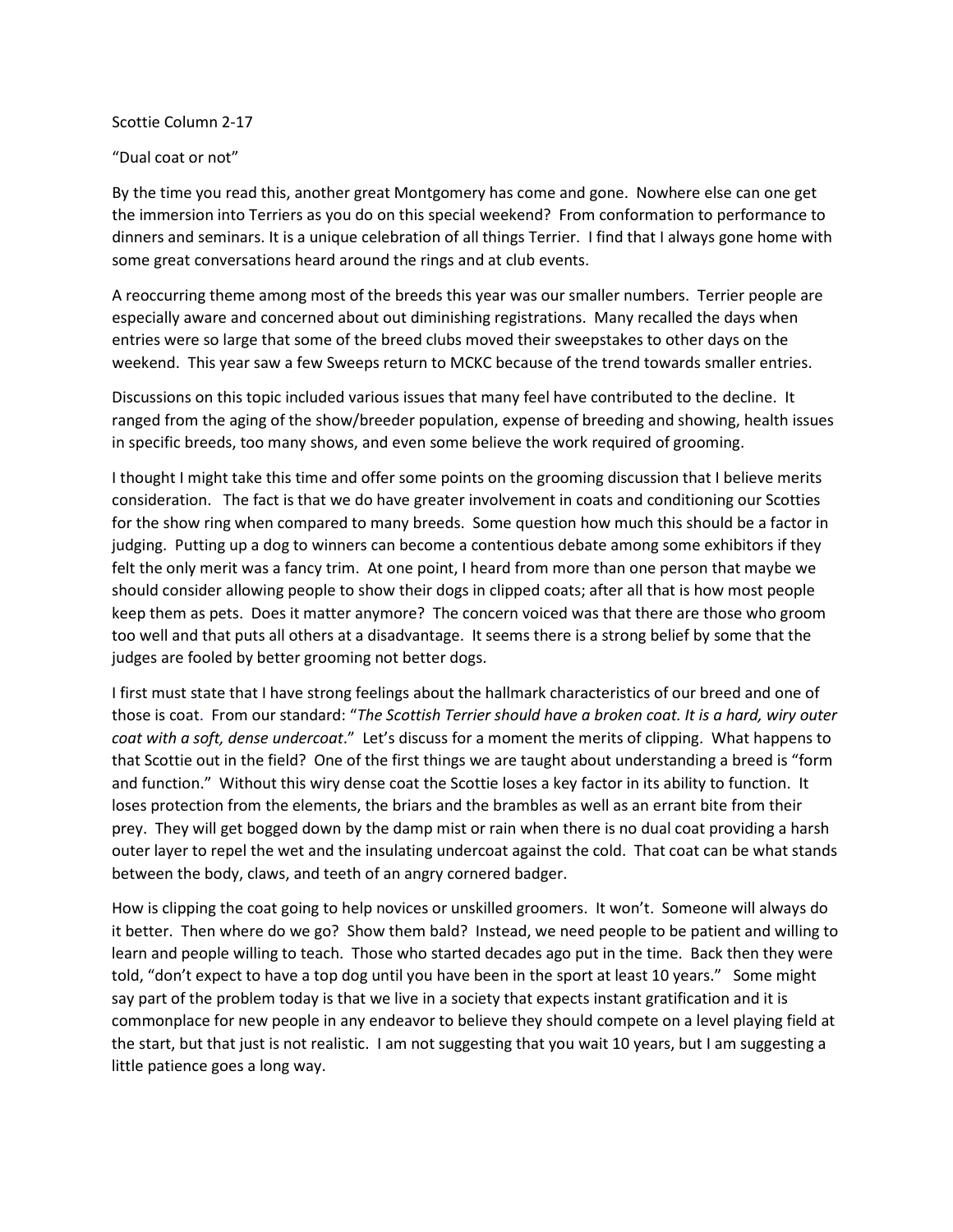Scottie Column 2-17

"Dual coat or not"

By the time you read this, another great Montgomery has come and gone. Nowhere else can one get the immersion into Terriers as you do on this special weekend? From conformation to performance to dinners and seminars. It is a unique celebration of all things Terrier. I find that I always gone home with some great conversations heard around the rings and at club events.

A reoccurring theme among most of the breeds this year was our smaller numbers. Terrier people are especially aware and concerned about out diminishing registrations. Many recalled the days when entries were so large that some of the breed clubs moved their sweepstakes to other days on the weekend. This year saw a few Sweeps return to MCKC because of the trend towards smaller entries.

Discussions on this topic included various issues that many feel have contributed to the decline. It ranged from the aging of the show/breeder population, expense of breeding and showing, health issues in specific breeds, too many shows, and even some believe the work required of grooming.

I thought I might take this time and offer some points on the grooming discussion that I believe merits consideration. The fact is that we do have greater involvement in coats and conditioning our Scotties for the show ring when compared to many breeds. Some question how much this should be a factor in judging. Putting up a dog to winners can become a contentious debate among some exhibitors if they felt the only merit was a fancy trim. At one point, I heard from more than one person that maybe we should consider allowing people to show their dogs in clipped coats; after all that is how most people keep them as pets. Does it matter anymore? The concern voiced was that there are those who groom too well and that puts all others at a disadvantage. It seems there is a strong belief by some that the judges are fooled by better grooming not better dogs.

I first must state that I have strong feelings about the hallmark characteristics of our breed and one of those is coat. From our standard: "*The Scottish Terrier should have a broken coat. It is a hard, wiry outer coat with a soft, dense undercoat*." Let's discuss for a moment the merits of clipping. What happens to that Scottie out in the field? One of the first things we are taught about understanding a breed is "form and function." Without this wiry dense coat the Scottie loses a key factor in its ability to function. It loses protection from the elements, the briars and the brambles as well as an errant bite from their prey. They will get bogged down by the damp mist or rain when there is no dual coat providing a harsh outer layer to repel the wet and the insulating undercoat against the cold. That coat can be what stands between the body, claws, and teeth of an angry cornered badger.

How is clipping the coat going to help novices or unskilled groomers. It won't. Someone will always do it better. Then where do we go? Show them bald? Instead, we need people to be patient and willing to learn and people willing to teach. Those who started decades ago put in the time. Back then they were told, "don't expect to have a top dog until you have been in the sport at least 10 years." Some might say part of the problem today is that we live in a society that expects instant gratification and it is commonplace for new people in any endeavor to believe they should compete on a level playing field at the start, but that just is not realistic. I am not suggesting that you wait 10 years, but I am suggesting a little patience goes a long way.